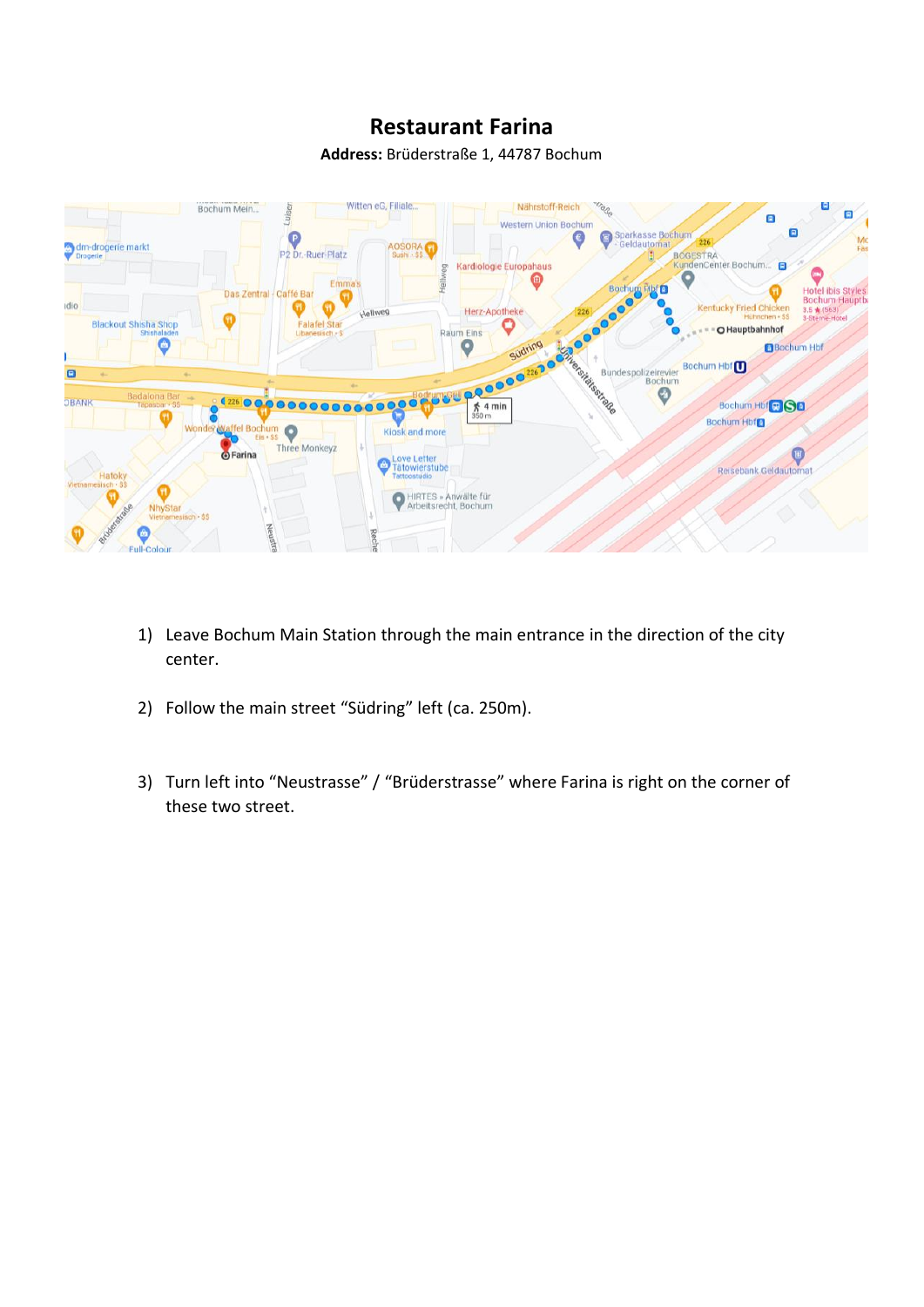## **Restaurant Farina**

**Address:** Brüderstraße 1, 44787 Bochum



- 1) Leave Bochum Main Station through the main entrance in the direction of the city center.
- 2) Follow the main street "Südring" left (ca. 250m).
- 3) Turn left into "Neustrasse" / "Brüderstrasse" where Farina is right on the corner of these two street.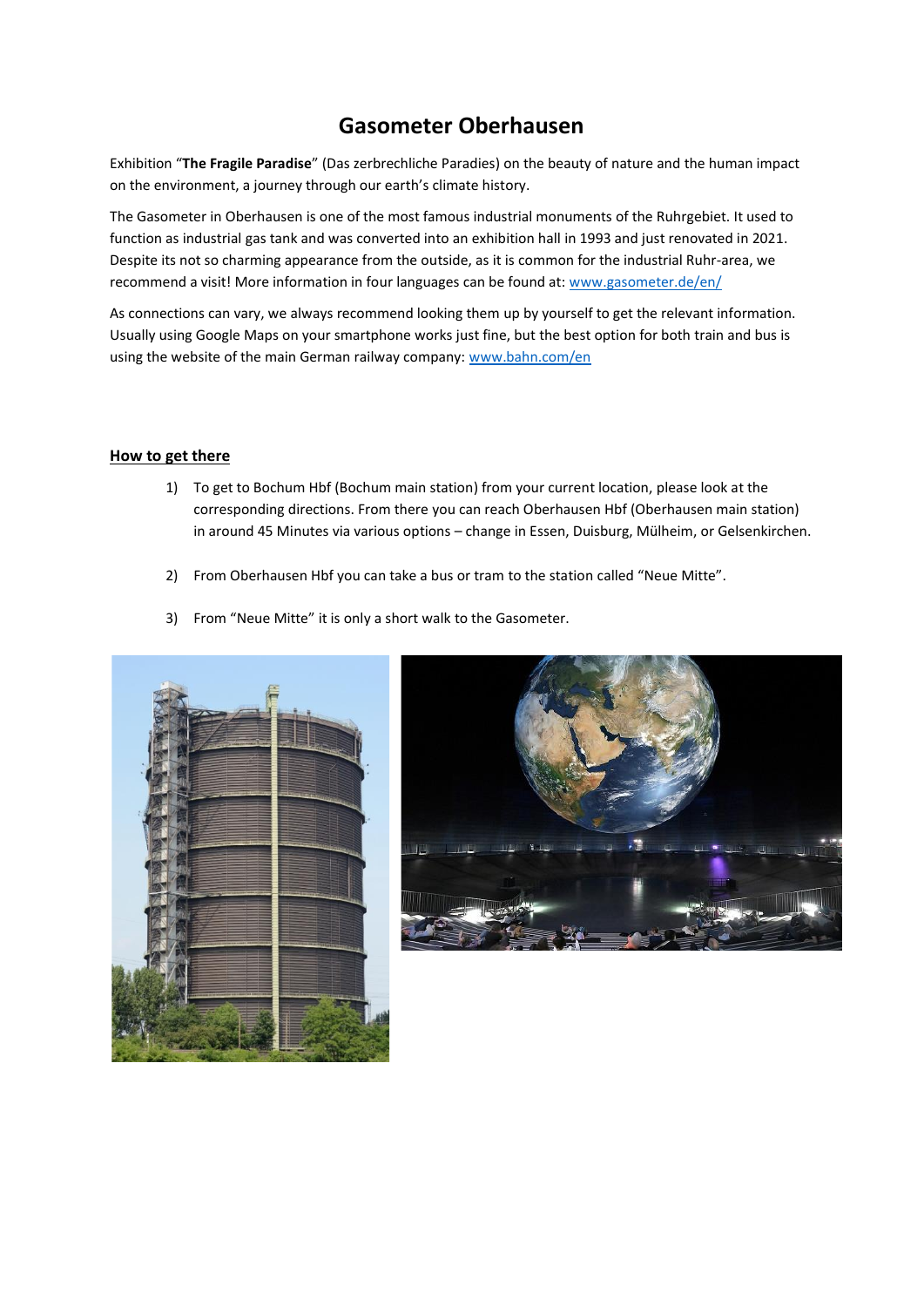## **Gasometer Oberhausen**

Exhibition ͞**The Fragile Paradise**͟;Das zerbrechliche Paradies) on the beauty of nature and the human impact on the environment, a journey through our earth's climate history.

The Gasometer in Oberhausen is one of the most famous industrial monuments of the Ruhrgebiet. It used to function as industrial gas tank and was converted into an exhibition hall in 1993 and just renovated in 2021. Despite its not so charming appearance from the outside, as it is common for the industrial Ruhr-area, we recommend a visit! More information in four languages can be found at: [www.gasometer.de/en/](http://www.gasometer.de/en/)

As connections can vary, we always recommend looking them up by yourself to get the relevant information. Usually using Google Maps on your smartphone works just fine, but the best option for both train and bus is using the website of the main German railway company: [www.bahn.com/en](http://www.bahn.com/en)

## **How to get there**

- 1) To get to Bochum Hbf (Bochum main station) from your current location, please look at the corresponding directions. From there you can reach Oberhausen Hbf (Oberhausen main station) in around 45 Minutes via various options - change in Essen, Duisburg, Mülheim, or Gelsenkirchen.
- 2) From Oberhausen Hbf you can take a bus or tram to the station called "Neue Mitte".
- 3) From "Neue Mitte" it is only a short walk to the Gasometer.